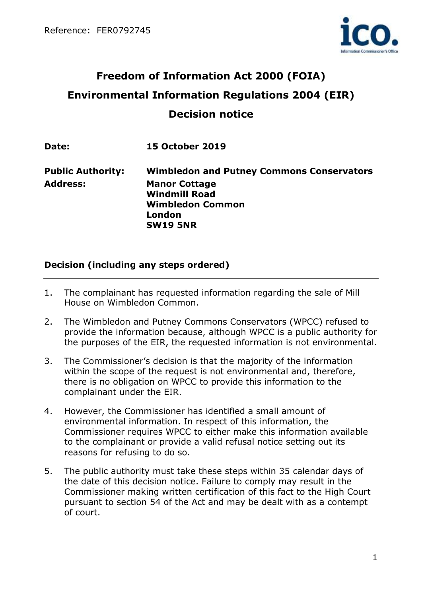

# **Freedom of Information Act 2000 (FOIA) Environmental Information Regulations 2004 (EIR) Decision notice**

**Date: 15 October 2019**

**Public Authority: Wimbledon and Putney Commons Conservators Address: Manor Cottage Windmill Road Wimbledon Common London SW19 5NR**

#### **Decision (including any steps ordered)**

- 1. The complainant has requested information regarding the sale of Mill House on Wimbledon Common.
- 2. The Wimbledon and Putney Commons Conservators (WPCC) refused to provide the information because, although WPCC is a public authority for the purposes of the EIR, the requested information is not environmental.
- 3. The Commissioner's decision is that the majority of the information within the scope of the request is not environmental and, therefore, there is no obligation on WPCC to provide this information to the complainant under the EIR.
- 4. However, the Commissioner has identified a small amount of environmental information. In respect of this information, the Commissioner requires WPCC to either make this information available to the complainant or provide a valid refusal notice setting out its reasons for refusing to do so.
- 5. The public authority must take these steps within 35 calendar days of the date of this decision notice. Failure to comply may result in the Commissioner making written certification of this fact to the High Court pursuant to section 54 of the Act and may be dealt with as a contempt of court.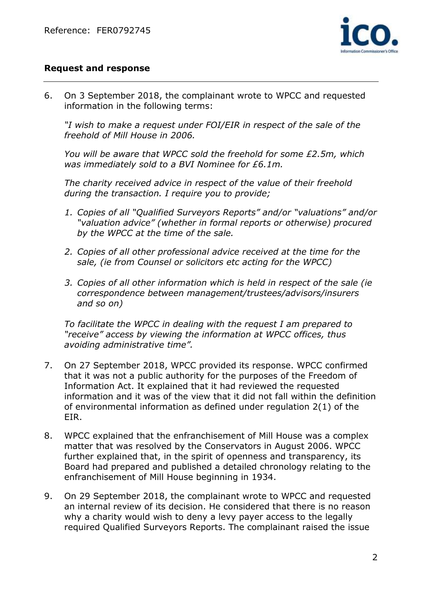

#### **Request and response**

6. On 3 September 2018, the complainant wrote to WPCC and requested information in the following terms:

*"I wish to make a request under FOI/EIR in respect of the sale of the freehold of Mill House in 2006.*

*You will be aware that WPCC sold the freehold for some £2.5m, which was immediately sold to a BVI Nominee for £6.1m.* 

*The charity received advice in respect of the value of their freehold during the transaction. I require you to provide;* 

- *1. Copies of all "Qualified Surveyors Reports" and/or "valuations" and/or "valuation advice" (whether in formal reports or otherwise) procured by the WPCC at the time of the sale.*
- *2. Copies of all other professional advice received at the time for the sale, (ie from Counsel or solicitors etc acting for the WPCC)*
- *3. Copies of all other information which is held in respect of the sale (ie correspondence between management/trustees/advisors/insurers and so on)*

*To facilitate the WPCC in dealing with the request I am prepared to "receive" access by viewing the information at WPCC offices, thus avoiding administrative time".* 

- 7. On 27 September 2018, WPCC provided its response. WPCC confirmed that it was not a public authority for the purposes of the Freedom of Information Act. It explained that it had reviewed the requested information and it was of the view that it did not fall within the definition of environmental information as defined under regulation 2(1) of the EIR.
- 8. WPCC explained that the enfranchisement of Mill House was a complex matter that was resolved by the Conservators in August 2006. WPCC further explained that, in the spirit of openness and transparency, its Board had prepared and published a detailed chronology relating to the enfranchisement of Mill House beginning in 1934.
- 9. On 29 September 2018, the complainant wrote to WPCC and requested an internal review of its decision. He considered that there is no reason why a charity would wish to deny a levy payer access to the legally required Qualified Surveyors Reports. The complainant raised the issue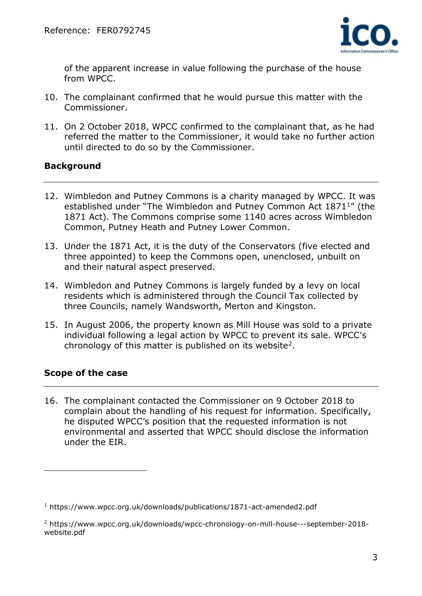

of the apparent increase in value following the purchase of the house from WPCC.

- 10. The complainant confirmed that he would pursue this matter with the Commissioner.
- 11. On 2 October 2018, WPCC confirmed to the complainant that, as he had referred the matter to the Commissioner, it would take no further action until directed to do so by the Commissioner.

#### **Background**

- 12. Wimbledon and Putney Commons is a charity managed by WPCC. It was established under "The Wimbledon and Putney Common Act 1871<sup>1</sup>" (the 1871 Act). The Commons comprise some 1140 acres across Wimbledon Common, Putney Heath and Putney Lower Common.
- 13. Under the 1871 Act, it is the duty of the Conservators (five elected and three appointed) to keep the Commons open, unenclosed, unbuilt on and their natural aspect preserved.
- 14. Wimbledon and Putney Commons is largely funded by a levy on local residents which is administered through the Council Tax collected by three Councils, namely Wandsworth, Merton and Kingston.
- 15. In August 2006, the property known as Mill House was sold to a private individual following a legal action by WPCC to prevent its sale. WPCC's chronology of this matter is published on its website<sup>2</sup>.

# **Scope of the case**

 $\overline{a}$ 

16. The complainant contacted the Commissioner on 9 October 2018 to complain about the handling of his request for information. Specifically, he disputed WPCC's position that the requested information is not environmental and asserted that WPCC should disclose the information under the EIR.

<sup>1</sup> https://www.wpcc.org.uk/downloads/publications/1871-act-amended2.pdf

<sup>2</sup> https://www.wpcc.org.uk/downloads/wpcc-chronology-on-mill-house---september-2018 website.pdf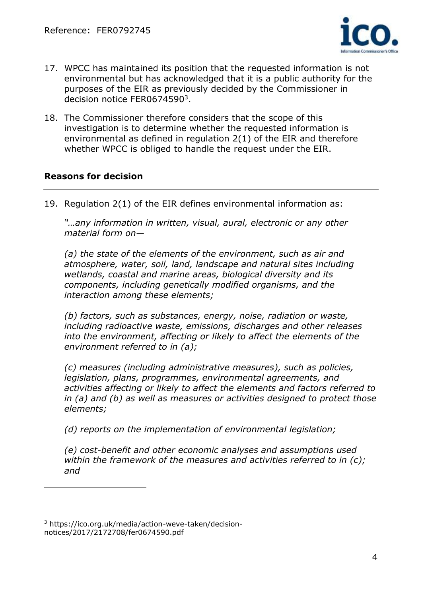

- 17. WPCC has maintained its position that the requested information is not environmental but has acknowledged that it is a public authority for the purposes of the EIR as previously decided by the Commissioner in decision notice FER0674590<sup>3</sup>.
- 18. The Commissioner therefore considers that the scope of this investigation is to determine whether the requested information is environmental as defined in regulation 2(1) of the EIR and therefore whether WPCC is obliged to handle the request under the EIR.

#### **Reasons for decision**

19. Regulation 2(1) of the EIR defines environmental information as:

*"…any information in written, visual, aural, electronic or any other material form on—*

*(a) the state of the elements of the environment, such as air and atmosphere, water, soil, land, landscape and natural sites including wetlands, coastal and marine areas, biological diversity and its components, including genetically modified organisms, and the interaction among these elements;* 

*(b) factors, such as substances, energy, noise, radiation or waste, including radioactive waste, emissions, discharges and other releases into the environment, affecting or likely to affect the elements of the environment referred to in (a);* 

*(c) measures (including administrative measures), such as policies, legislation, plans, programmes, environmental agreements, and activities affecting or likely to affect the elements and factors referred to in (a) and (b) as well as measures or activities designed to protect those elements;* 

*(d) reports on the implementation of environmental legislation;* 

*(e) cost-benefit and other economic analyses and assumptions used within the framework of the measures and activities referred to in (c); and* 

<sup>3</sup> https://ico.org.uk/media/action-weve-taken/decisionnotices/2017/2172708/fer0674590.pdf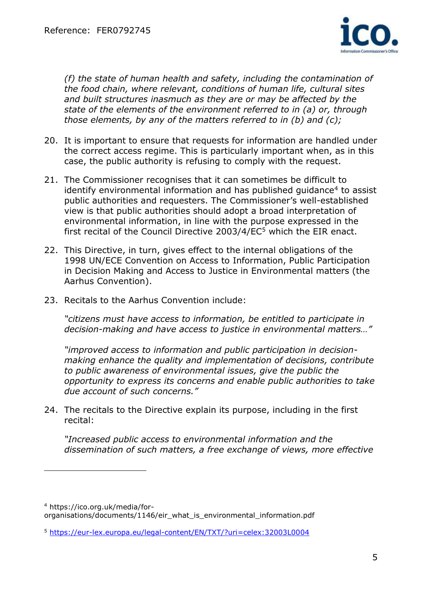

*(f) the state of human health and safety, including the contamination of the food chain, where relevant, conditions of human life, cultural sites and built structures inasmuch as they are or may be affected by the state of the elements of the environment referred to in (a) or, through those elements, by any of the matters referred to in (b) and (c);*

- 20. It is important to ensure that requests for information are handled under the correct access regime. This is particularly important when, as in this case, the public authority is refusing to comply with the request.
- 21. The Commissioner recognises that it can sometimes be difficult to identify environmental information and has published guidance<sup>4</sup> to assist public authorities and requesters. The Commissioner's well-established view is that public authorities should adopt a broad interpretation of environmental information, in line with the purpose expressed in the first recital of the Council Directive 2003/4/EC<sup>5</sup> which the EIR enact.
- 22. This Directive, in turn, gives effect to the internal obligations of the 1998 UN/ECE Convention on Access to Information, Public Participation in Decision Making and Access to Justice in Environmental matters (the Aarhus Convention).
- 23. Recitals to the Aarhus Convention include:

*"citizens must have access to information, be entitled to participate in decision-making and have access to justice in environmental matters…"*

*"improved access to information and public participation in decisionmaking enhance the quality and implementation of decisions, contribute to public awareness of environmental issues, give the public the opportunity to express its concerns and enable public authorities to take due account of such concerns."*

24. The recitals to the Directive explain its purpose, including in the first recital:

*"Increased public access to environmental information and the dissemination of such matters, a free exchange of views, more effective* 

<sup>4</sup> https://ico.org.uk/media/for-

organisations/documents/1146/eir\_what\_is\_environmental\_information.pdf

<sup>5</sup> <https://eur-lex.europa.eu/legal-content/EN/TXT/?uri=celex:32003L0004>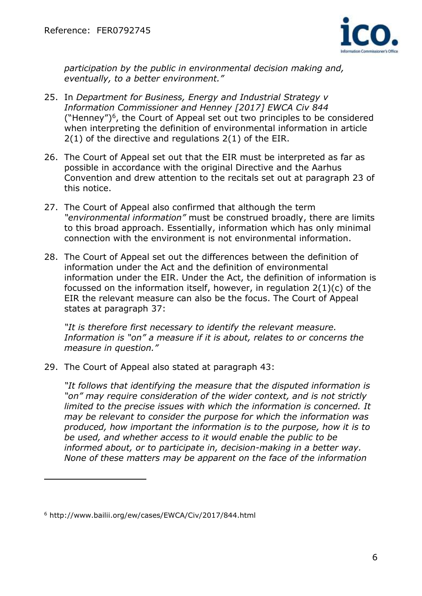

*participation by the public in environmental decision making and, eventually, to a better environment."*

- 25. In *Department for Business, Energy and Industrial Strategy v Information Commissioner and Henney [2017] EWCA Civ 844*  ("Henney")<sup>6</sup> , the Court of Appeal set out two principles to be considered when interpreting the definition of environmental information in article 2(1) of the directive and regulations 2(1) of the EIR.
- 26. The Court of Appeal set out that the EIR must be interpreted as far as possible in accordance with the original Directive and the Aarhus Convention and drew attention to the recitals set out at paragraph 23 of this notice.
- 27. The Court of Appeal also confirmed that although the term *"environmental information"* must be construed broadly, there are limits to this broad approach. Essentially, information which has only minimal connection with the environment is not environmental information.
- 28. The Court of Appeal set out the differences between the definition of information under the Act and the definition of environmental information under the EIR. Under the Act, the definition of information is focussed on the information itself, however, in regulation 2(1)(c) of the EIR the relevant measure can also be the focus. The Court of Appeal states at paragraph 37:

*"It is therefore first necessary to identify the relevant measure. Information is "on" a measure if it is about, relates to or concerns the measure in question."*

29. The Court of Appeal also stated at paragraph 43:

*"It follows that identifying the measure that the disputed information is "on" may require consideration of the wider context, and is not strictly limited to the precise issues with which the information is concerned. It may be relevant to consider the purpose for which the information was produced, how important the information is to the purpose, how it is to be used, and whether access to it would enable the public to be informed about, or to participate in, decision-making in a better way. None of these matters may be apparent on the face of the information* 

<sup>6</sup> http://www.bailii.org/ew/cases/EWCA/Civ/2017/844.html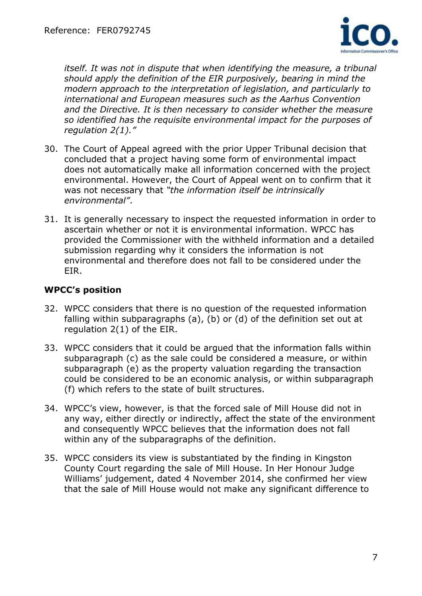

*itself. It was not in dispute that when identifying the measure, a tribunal should apply the definition of the EIR purposively, bearing in mind the modern approach to the interpretation of legislation, and particularly to international and European measures such as the Aarhus Convention and the Directive. It is then necessary to consider whether the measure so identified has the requisite environmental impact for the purposes of regulation 2(1)."*

- 30. The Court of Appeal agreed with the prior Upper Tribunal decision that concluded that a project having some form of environmental impact does not automatically make all information concerned with the project environmental. However, the Court of Appeal went on to confirm that it was not necessary that *"the information itself be intrinsically environmental"*.
- 31. It is generally necessary to inspect the requested information in order to ascertain whether or not it is environmental information. WPCC has provided the Commissioner with the withheld information and a detailed submission regarding why it considers the information is not environmental and therefore does not fall to be considered under the EIR.

# **WPCC's position**

- 32. WPCC considers that there is no question of the requested information falling within subparagraphs (a), (b) or (d) of the definition set out at regulation 2(1) of the EIR.
- 33. WPCC considers that it could be argued that the information falls within subparagraph (c) as the sale could be considered a measure, or within subparagraph (e) as the property valuation regarding the transaction could be considered to be an economic analysis, or within subparagraph (f) which refers to the state of built structures.
- 34. WPCC's view, however, is that the forced sale of Mill House did not in any way, either directly or indirectly, affect the state of the environment and consequently WPCC believes that the information does not fall within any of the subparagraphs of the definition.
- 35. WPCC considers its view is substantiated by the finding in Kingston County Court regarding the sale of Mill House. In Her Honour Judge Williams' judgement, dated 4 November 2014, she confirmed her view that the sale of Mill House would not make any significant difference to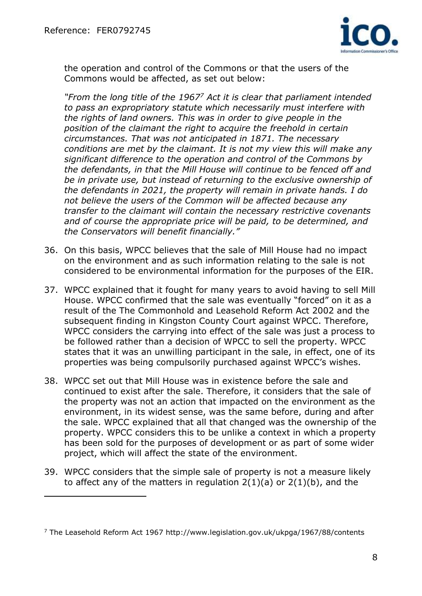$\overline{a}$ 



the operation and control of the Commons or that the users of the Commons would be affected, as set out below:

*"From the long title of the 1967<sup>7</sup> Act it is clear that parliament intended to pass an expropriatory statute which necessarily must interfere with the rights of land owners. This was in order to give people in the position of the claimant the right to acquire the freehold in certain circumstances. That was not anticipated in 1871. The necessary conditions are met by the claimant. It is not my view this will make any significant difference to the operation and control of the Commons by the defendants, in that the Mill House will continue to be fenced off and be in private use, but instead of returning to the exclusive ownership of the defendants in 2021, the property will remain in private hands. I do not believe the users of the Common will be affected because any transfer to the claimant will contain the necessary restrictive covenants and of course the appropriate price will be paid, to be determined, and the Conservators will benefit financially."*

- 36. On this basis, WPCC believes that the sale of Mill House had no impact on the environment and as such information relating to the sale is not considered to be environmental information for the purposes of the EIR.
- 37. WPCC explained that it fought for many years to avoid having to sell Mill House. WPCC confirmed that the sale was eventually "forced" on it as a result of the The Commonhold and Leasehold Reform Act 2002 and the subsequent finding in Kingston County Court against WPCC. Therefore, WPCC considers the carrying into effect of the sale was just a process to be followed rather than a decision of WPCC to sell the property. WPCC states that it was an unwilling participant in the sale, in effect, one of its properties was being compulsorily purchased against WPCC's wishes.
- 38. WPCC set out that Mill House was in existence before the sale and continued to exist after the sale. Therefore, it considers that the sale of the property was not an action that impacted on the environment as the environment, in its widest sense, was the same before, during and after the sale. WPCC explained that all that changed was the ownership of the property. WPCC considers this to be unlike a context in which a property has been sold for the purposes of development or as part of some wider project, which will affect the state of the environment.
- 39. WPCC considers that the simple sale of property is not a measure likely to affect any of the matters in regulation  $2(1)(a)$  or  $2(1)(b)$ , and the

 $7$  The Leasehold Reform Act 1967 http://www.legislation.gov.uk/ukpga/1967/88/contents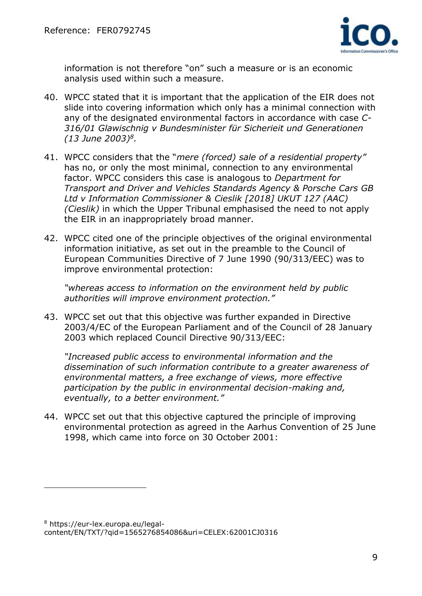

information is not therefore "on" such a measure or is an economic analysis used within such a measure.

- 40. WPCC stated that it is important that the application of the EIR does not slide into covering information which only has a minimal connection with any of the designated environmental factors in accordance with case *C-316/01 Glawischnig v Bundesminister für Sicherieit und Generationen (13 June 2003)<sup>8</sup> .*
- 41. WPCC considers that the "*mere (forced) sale of a residential property"*  has no, or only the most minimal, connection to any environmental factor. WPCC considers this case is analogous to *Department for Transport and Driver and Vehicles Standards Agency & Porsche Cars GB Ltd v Information Commissioner & Cieslik [2018] UKUT 127 (AAC) (Cieslik)* in which the Upper Tribunal emphasised the need to not apply the EIR in an inappropriately broad manner.
- 42. WPCC cited one of the principle objectives of the original environmental information initiative, as set out in the preamble to the Council of European Communities Directive of 7 June 1990 (90/313/EEC) was to improve environmental protection:

*"whereas access to information on the environment held by public authorities will improve environment protection."*

43. WPCC set out that this objective was further expanded in Directive 2003/4/EC of the European Parliament and of the Council of 28 January 2003 which replaced Council Directive 90/313/EEC:

*"Increased public access to environmental information and the dissemination of such information contribute to a greater awareness of environmental matters, a free exchange of views, more effective participation by the public in environmental decision-making and, eventually, to a better environment."*

44. WPCC set out that this objective captured the principle of improving environmental protection as agreed in the Aarhus Convention of 25 June 1998, which came into force on 30 October 2001:

<sup>8</sup> https://eur-lex.europa.eu/legalcontent/EN/TXT/?qid=1565276854086&uri=CELEX:62001CJ0316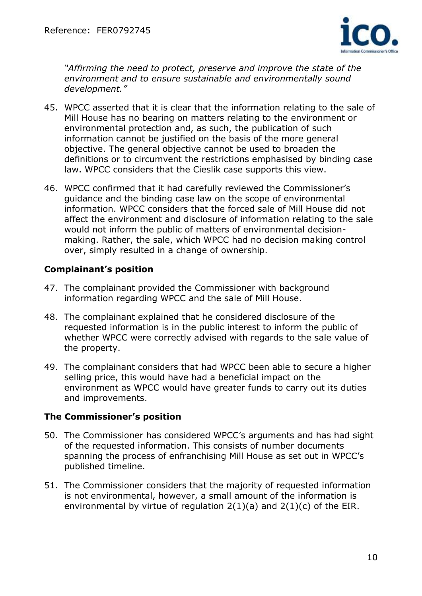

*"Affirming the need to protect, preserve and improve the state of the environment and to ensure sustainable and environmentally sound development."*

- 45. WPCC asserted that it is clear that the information relating to the sale of Mill House has no bearing on matters relating to the environment or environmental protection and, as such, the publication of such information cannot be justified on the basis of the more general objective. The general objective cannot be used to broaden the definitions or to circumvent the restrictions emphasised by binding case law. WPCC considers that the Cieslik case supports this view.
- 46. WPCC confirmed that it had carefully reviewed the Commissioner's guidance and the binding case law on the scope of environmental information. WPCC considers that the forced sale of Mill House did not affect the environment and disclosure of information relating to the sale would not inform the public of matters of environmental decisionmaking. Rather, the sale, which WPCC had no decision making control over, simply resulted in a change of ownership.

# **Complainant's position**

- 47. The complainant provided the Commissioner with background information regarding WPCC and the sale of Mill House.
- 48. The complainant explained that he considered disclosure of the requested information is in the public interest to inform the public of whether WPCC were correctly advised with regards to the sale value of the property.
- 49. The complainant considers that had WPCC been able to secure a higher selling price, this would have had a beneficial impact on the environment as WPCC would have greater funds to carry out its duties and improvements.

# **The Commissioner's position**

- 50. The Commissioner has considered WPCC's arguments and has had sight of the requested information. This consists of number documents spanning the process of enfranchising Mill House as set out in WPCC's published timeline.
- 51. The Commissioner considers that the majority of requested information is not environmental, however, a small amount of the information is environmental by virtue of regulation  $2(1)(a)$  and  $2(1)(c)$  of the EIR.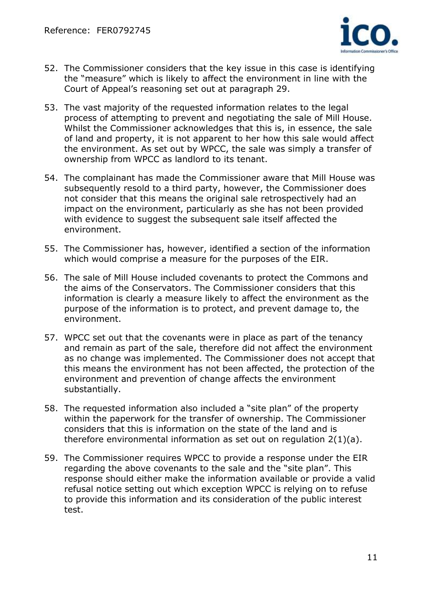

- 52. The Commissioner considers that the key issue in this case is identifying the "measure" which is likely to affect the environment in line with the Court of Appeal's reasoning set out at paragraph 29.
- 53. The vast majority of the requested information relates to the legal process of attempting to prevent and negotiating the sale of Mill House. Whilst the Commissioner acknowledges that this is, in essence, the sale of land and property, it is not apparent to her how this sale would affect the environment. As set out by WPCC, the sale was simply a transfer of ownership from WPCC as landlord to its tenant.
- 54. The complainant has made the Commissioner aware that Mill House was subsequently resold to a third party, however, the Commissioner does not consider that this means the original sale retrospectively had an impact on the environment, particularly as she has not been provided with evidence to suggest the subsequent sale itself affected the environment.
- 55. The Commissioner has, however, identified a section of the information which would comprise a measure for the purposes of the EIR.
- 56. The sale of Mill House included covenants to protect the Commons and the aims of the Conservators. The Commissioner considers that this information is clearly a measure likely to affect the environment as the purpose of the information is to protect, and prevent damage to, the environment.
- 57. WPCC set out that the covenants were in place as part of the tenancy and remain as part of the sale, therefore did not affect the environment as no change was implemented. The Commissioner does not accept that this means the environment has not been affected, the protection of the environment and prevention of change affects the environment substantially.
- 58. The requested information also included a "site plan" of the property within the paperwork for the transfer of ownership. The Commissioner considers that this is information on the state of the land and is therefore environmental information as set out on regulation 2(1)(a).
- 59. The Commissioner requires WPCC to provide a response under the EIR regarding the above covenants to the sale and the "site plan". This response should either make the information available or provide a valid refusal notice setting out which exception WPCC is relying on to refuse to provide this information and its consideration of the public interest test.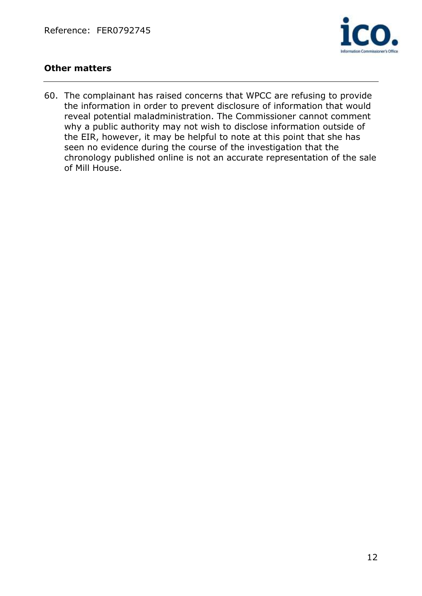

# **Other matters**

60. The complainant has raised concerns that WPCC are refusing to provide the information in order to prevent disclosure of information that would reveal potential maladministration. The Commissioner cannot comment why a public authority may not wish to disclose information outside of the EIR, however, it may be helpful to note at this point that she has seen no evidence during the course of the investigation that the chronology published online is not an accurate representation of the sale of Mill House.